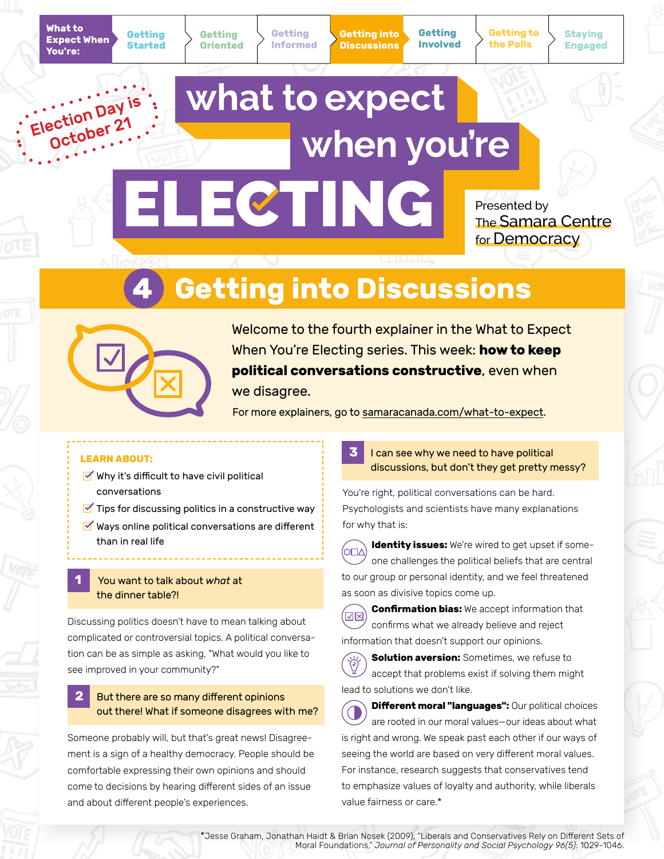Election Day is October 21

**Getting Oriented**

**Getting Started** **Getting Informed** **Getting into Discussions**

**Getting Involved** **Getting to the Polls**

**Staying Engaged**

# what to expect when you're ELECTING

Presented by The Samara Centre for Democracy

# **4 Getting into Discussions**



Welcome to the fourth explainer in the What to Expect When You're Electing series. This week: **how to keep political conversations constructive**, even when we disagree.

For more explainers, go to [samaracanada.com/what-to-expect](https://www.samaracanada.com/samara-in-the-classroom/what-to-expect-when-you).

## **LEARN ABOUT:**

- $\blacktriangleright$  Why it's difficult to have civil political conversations
- $\blacksquare$  Tips for discussing politics in a constructive way
- $\blacktriangleright$  Ways online political conversations are different than in real life

## **1** You want to talk about *what* at the dinner table?!

Discussing politics doesn't have to mean talking about complicated or controversial topics. A political conversation can be as simple as asking, "What would you like to see improved in your community?"

# **2** But there are so many different opinions out there! What if someone disagrees with me?

Someone probably will, but that's great news! Disagreement is a sign of a healthy democracy. People should be comfortable expressing their own opinions and should come to decisions by hearing different sides of an issue and about different people's experiences.

**3** I can see why we need to have political discussions, but don't they get pretty messy?

You're right, political conversations can be hard. Psychologists and scientists have many explanations for why that is:

**Identity issues:** We're wired to get upset if some-(O⊡∆ one challenges the political beliefs that are central to our group or personal identity, and we feel threatened as soon as divisive topics come up.

**Confirmation bias:** We accept information that (নেন confirms what we already believe and reject information that doesn't support our opinions.

**Solution aversion:** Sometimes, we refuse to accept that problems exist if solving them might lead to solutions we don't like.

**Different moral "languages":** Our political choices are rooted in our moral values—our ideas about what is right and wrong. We speak past each other if our ways of seeing the world are based on very different moral values. For instance, research suggests that conservatives tend to emphasize values of loyalty and authority, while liberals value fairness or care.\*

\*Jesse Graham, Jonathan Haidt & Brian Nosek (2009), "Liberals and Conservatives Rely on Different Sets of Moral Foundations," *Journal of Personality and Social Psychology 96(5)*: 1029-1046.